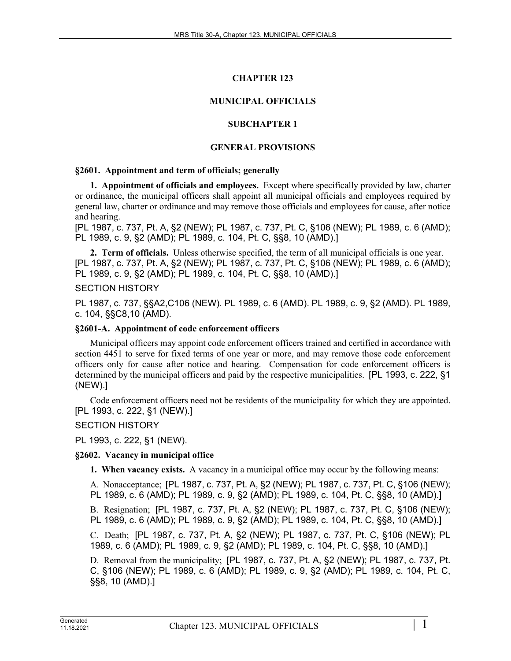## **CHAPTER 123**

## **MUNICIPAL OFFICIALS**

## **SUBCHAPTER 1**

### **GENERAL PROVISIONS**

#### **§2601. Appointment and term of officials; generally**

**1. Appointment of officials and employees.** Except where specifically provided by law, charter or ordinance, the municipal officers shall appoint all municipal officials and employees required by general law, charter or ordinance and may remove those officials and employees for cause, after notice and hearing.

[PL 1987, c. 737, Pt. A, §2 (NEW); PL 1987, c. 737, Pt. C, §106 (NEW); PL 1989, c. 6 (AMD); PL 1989, c. 9, §2 (AMD); PL 1989, c. 104, Pt. C, §§8, 10 (AMD).]

**2. Term of officials.** Unless otherwise specified, the term of all municipal officials is one year. [PL 1987, c. 737, Pt. A, §2 (NEW); PL 1987, c. 737, Pt. C, §106 (NEW); PL 1989, c. 6 (AMD); PL 1989, c. 9, §2 (AMD); PL 1989, c. 104, Pt. C, §§8, 10 (AMD).]

### SECTION HISTORY

PL 1987, c. 737, §§A2,C106 (NEW). PL 1989, c. 6 (AMD). PL 1989, c. 9, §2 (AMD). PL 1989, c. 104, §§C8,10 (AMD).

### **§2601-A. Appointment of code enforcement officers**

Municipal officers may appoint code enforcement officers trained and certified in accordance with section 4451 to serve for fixed terms of one year or more, and may remove those code enforcement officers only for cause after notice and hearing. Compensation for code enforcement officers is determined by the municipal officers and paid by the respective municipalities. [PL 1993, c. 222, §1 (NEW).]

Code enforcement officers need not be residents of the municipality for which they are appointed. [PL 1993, c. 222, §1 (NEW).]

SECTION HISTORY

PL 1993, c. 222, §1 (NEW).

### **§2602. Vacancy in municipal office**

**1. When vacancy exists.** A vacancy in a municipal office may occur by the following means:

A. Nonacceptance; [PL 1987, c. 737, Pt. A, §2 (NEW); PL 1987, c. 737, Pt. C, §106 (NEW); PL 1989, c. 6 (AMD); PL 1989, c. 9, §2 (AMD); PL 1989, c. 104, Pt. C, §§8, 10 (AMD).]

B. Resignation; [PL 1987, c. 737, Pt. A, §2 (NEW); PL 1987, c. 737, Pt. C, §106 (NEW); PL 1989, c. 6 (AMD); PL 1989, c. 9, §2 (AMD); PL 1989, c. 104, Pt. C, §§8, 10 (AMD).]

C. Death; [PL 1987, c. 737, Pt. A, §2 (NEW); PL 1987, c. 737, Pt. C, §106 (NEW); PL 1989, c. 6 (AMD); PL 1989, c. 9, §2 (AMD); PL 1989, c. 104, Pt. C, §§8, 10 (AMD).]

D. Removal from the municipality; [PL 1987, c. 737, Pt. A, §2 (NEW); PL 1987, c. 737, Pt. C, §106 (NEW); PL 1989, c. 6 (AMD); PL 1989, c. 9, §2 (AMD); PL 1989, c. 104, Pt. C, §§8, 10 (AMD).]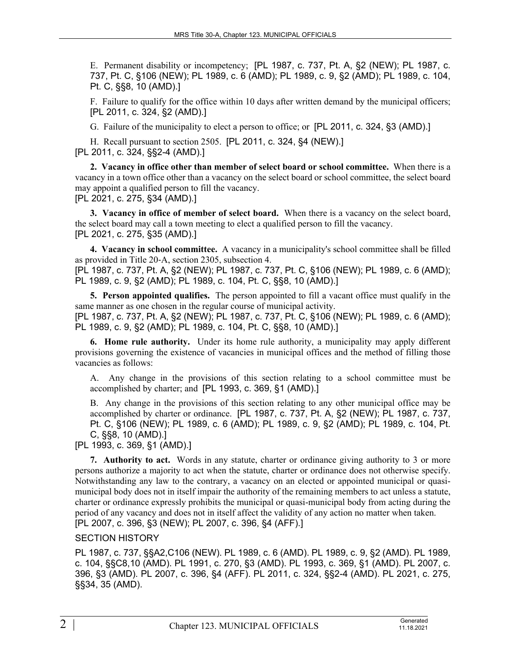E. Permanent disability or incompetency; [PL 1987, c. 737, Pt. A, §2 (NEW); PL 1987, c. 737, Pt. C, §106 (NEW); PL 1989, c. 6 (AMD); PL 1989, c. 9, §2 (AMD); PL 1989, c. 104, Pt. C, §§8, 10 (AMD).]

F. Failure to qualify for the office within 10 days after written demand by the municipal officers; [PL 2011, c. 324, §2 (AMD).]

G. Failure of the municipality to elect a person to office; or [PL 2011, c. 324, §3 (AMD).]

H. Recall pursuant to section 2505. [PL 2011, c. 324, §4 (NEW).] [PL 2011, c. 324, §§2-4 (AMD).]

**2. Vacancy in office other than member of select board or school committee.** When there is a vacancy in a town office other than a vacancy on the select board or school committee, the select board may appoint a qualified person to fill the vacancy. [PL 2021, c. 275, §34 (AMD).]

**3. Vacancy in office of member of select board.** When there is a vacancy on the select board, the select board may call a town meeting to elect a qualified person to fill the vacancy. [PL 2021, c. 275, §35 (AMD).]

**4. Vacancy in school committee.** A vacancy in a municipality's school committee shall be filled as provided in Title 20‑A, section 2305, subsection 4.

[PL 1987, c. 737, Pt. A, §2 (NEW); PL 1987, c. 737, Pt. C, §106 (NEW); PL 1989, c. 6 (AMD); PL 1989, c. 9, §2 (AMD); PL 1989, c. 104, Pt. C, §§8, 10 (AMD).]

**5. Person appointed qualifies.** The person appointed to fill a vacant office must qualify in the same manner as one chosen in the regular course of municipal activity. [PL 1987, c. 737, Pt. A, §2 (NEW); PL 1987, c. 737, Pt. C, §106 (NEW); PL 1989, c. 6 (AMD); PL 1989, c. 9, §2 (AMD); PL 1989, c. 104, Pt. C, §§8, 10 (AMD).]

**6. Home rule authority.** Under its home rule authority, a municipality may apply different provisions governing the existence of vacancies in municipal offices and the method of filling those vacancies as follows:

A. Any change in the provisions of this section relating to a school committee must be accomplished by charter; and [PL 1993, c. 369, §1 (AMD).]

B. Any change in the provisions of this section relating to any other municipal office may be accomplished by charter or ordinance. [PL 1987, c. 737, Pt. A, §2 (NEW); PL 1987, c. 737, Pt. C, §106 (NEW); PL 1989, c. 6 (AMD); PL 1989, c. 9, §2 (AMD); PL 1989, c. 104, Pt. C, §§8, 10 (AMD).]

[PL 1993, c. 369, §1 (AMD).]

**7. Authority to act.** Words in any statute, charter or ordinance giving authority to 3 or more persons authorize a majority to act when the statute, charter or ordinance does not otherwise specify. Notwithstanding any law to the contrary, a vacancy on an elected or appointed municipal or quasimunicipal body does not in itself impair the authority of the remaining members to act unless a statute, charter or ordinance expressly prohibits the municipal or quasi-municipal body from acting during the period of any vacancy and does not in itself affect the validity of any action no matter when taken. [PL 2007, c. 396, §3 (NEW); PL 2007, c. 396, §4 (AFF).]

### SECTION HISTORY

PL 1987, c. 737, §§A2,C106 (NEW). PL 1989, c. 6 (AMD). PL 1989, c. 9, §2 (AMD). PL 1989, c. 104, §§C8,10 (AMD). PL 1991, c. 270, §3 (AMD). PL 1993, c. 369, §1 (AMD). PL 2007, c. 396, §3 (AMD). PL 2007, c. 396, §4 (AFF). PL 2011, c. 324, §§2-4 (AMD). PL 2021, c. 275, §§34, 35 (AMD).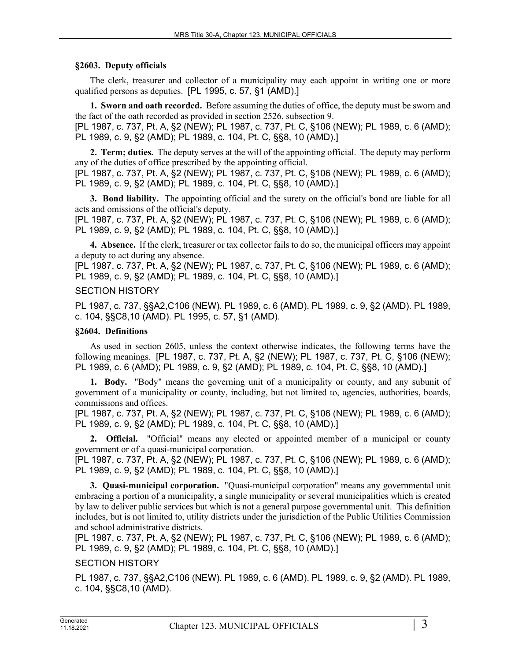### **§2603. Deputy officials**

The clerk, treasurer and collector of a municipality may each appoint in writing one or more qualified persons as deputies. [PL 1995, c. 57, §1 (AMD).]

**1. Sworn and oath recorded.** Before assuming the duties of office, the deputy must be sworn and the fact of the oath recorded as provided in section 2526, subsection 9.

[PL 1987, c. 737, Pt. A, §2 (NEW); PL 1987, c. 737, Pt. C, §106 (NEW); PL 1989, c. 6 (AMD); PL 1989, c. 9, §2 (AMD); PL 1989, c. 104, Pt. C, §§8, 10 (AMD).]

**2. Term; duties.** The deputy serves at the will of the appointing official. The deputy may perform any of the duties of office prescribed by the appointing official.

[PL 1987, c. 737, Pt. A, §2 (NEW); PL 1987, c. 737, Pt. C, §106 (NEW); PL 1989, c. 6 (AMD); PL 1989, c. 9, §2 (AMD); PL 1989, c. 104, Pt. C, §§8, 10 (AMD).]

**3. Bond liability.** The appointing official and the surety on the official's bond are liable for all acts and omissions of the official's deputy.

[PL 1987, c. 737, Pt. A, §2 (NEW); PL 1987, c. 737, Pt. C, §106 (NEW); PL 1989, c. 6 (AMD); PL 1989, c. 9, §2 (AMD); PL 1989, c. 104, Pt. C, §§8, 10 (AMD).]

**4. Absence.** If the clerk, treasurer or tax collector fails to do so, the municipal officers may appoint a deputy to act during any absence.

[PL 1987, c. 737, Pt. A, §2 (NEW); PL 1987, c. 737, Pt. C, §106 (NEW); PL 1989, c. 6 (AMD); PL 1989, c. 9, §2 (AMD); PL 1989, c. 104, Pt. C, §§8, 10 (AMD).]

### SECTION HISTORY

PL 1987, c. 737, §§A2,C106 (NEW). PL 1989, c. 6 (AMD). PL 1989, c. 9, §2 (AMD). PL 1989, c. 104, §§C8,10 (AMD). PL 1995, c. 57, §1 (AMD).

### **§2604. Definitions**

As used in section 2605, unless the context otherwise indicates, the following terms have the following meanings. [PL 1987, c. 737, Pt. A, §2 (NEW); PL 1987, c. 737, Pt. C, §106 (NEW); PL 1989, c. 6 (AMD); PL 1989, c. 9, §2 (AMD); PL 1989, c. 104, Pt. C, §§8, 10 (AMD).]

**1. Body.** "Body" means the governing unit of a municipality or county, and any subunit of government of a municipality or county, including, but not limited to, agencies, authorities, boards, commissions and offices.

[PL 1987, c. 737, Pt. A, §2 (NEW); PL 1987, c. 737, Pt. C, §106 (NEW); PL 1989, c. 6 (AMD); PL 1989, c. 9, §2 (AMD); PL 1989, c. 104, Pt. C, §§8, 10 (AMD).]

**2. Official.** "Official" means any elected or appointed member of a municipal or county government or of a quasi-municipal corporation.

[PL 1987, c. 737, Pt. A, §2 (NEW); PL 1987, c. 737, Pt. C, §106 (NEW); PL 1989, c. 6 (AMD); PL 1989, c. 9, §2 (AMD); PL 1989, c. 104, Pt. C, §§8, 10 (AMD).]

**3. Quasi-municipal corporation.** "Quasi-municipal corporation" means any governmental unit embracing a portion of a municipality, a single municipality or several municipalities which is created by law to deliver public services but which is not a general purpose governmental unit. This definition includes, but is not limited to, utility districts under the jurisdiction of the Public Utilities Commission and school administrative districts.

[PL 1987, c. 737, Pt. A, §2 (NEW); PL 1987, c. 737, Pt. C, §106 (NEW); PL 1989, c. 6 (AMD); PL 1989, c. 9, §2 (AMD); PL 1989, c. 104, Pt. C, §§8, 10 (AMD).]

## SECTION HISTORY

PL 1987, c. 737, §§A2,C106 (NEW). PL 1989, c. 6 (AMD). PL 1989, c. 9, §2 (AMD). PL 1989, c. 104, §§C8,10 (AMD).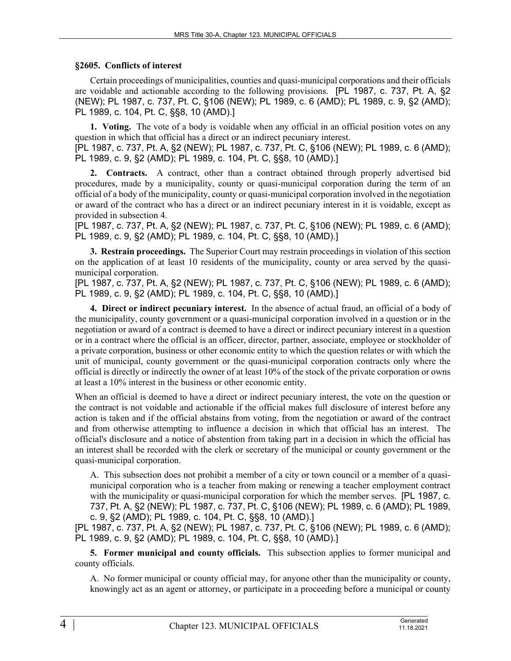### **§2605. Conflicts of interest**

Certain proceedings of municipalities, counties and quasi-municipal corporations and their officials are voidable and actionable according to the following provisions. [PL 1987, c. 737, Pt. A, §2 (NEW); PL 1987, c. 737, Pt. C, §106 (NEW); PL 1989, c. 6 (AMD); PL 1989, c. 9, §2 (AMD); PL 1989, c. 104, Pt. C, §§8, 10 (AMD).]

**1. Voting.** The vote of a body is voidable when any official in an official position votes on any question in which that official has a direct or an indirect pecuniary interest. [PL 1987, c. 737, Pt. A, §2 (NEW); PL 1987, c. 737, Pt. C, §106 (NEW); PL 1989, c. 6 (AMD);

PL 1989, c. 9, §2 (AMD); PL 1989, c. 104, Pt. C, §§8, 10 (AMD).]

**2. Contracts.** A contract, other than a contract obtained through properly advertised bid procedures, made by a municipality, county or quasi-municipal corporation during the term of an official of a body of the municipality, county or quasi-municipal corporation involved in the negotiation or award of the contract who has a direct or an indirect pecuniary interest in it is voidable, except as provided in subsection 4.

[PL 1987, c. 737, Pt. A, §2 (NEW); PL 1987, c. 737, Pt. C, §106 (NEW); PL 1989, c. 6 (AMD); PL 1989, c. 9, §2 (AMD); PL 1989, c. 104, Pt. C, §§8, 10 (AMD).]

**3. Restrain proceedings.** The Superior Court may restrain proceedings in violation of this section on the application of at least 10 residents of the municipality, county or area served by the quasimunicipal corporation.

[PL 1987, c. 737, Pt. A, §2 (NEW); PL 1987, c. 737, Pt. C, §106 (NEW); PL 1989, c. 6 (AMD); PL 1989, c. 9, §2 (AMD); PL 1989, c. 104, Pt. C, §§8, 10 (AMD).]

**4. Direct or indirect pecuniary interest.** In the absence of actual fraud, an official of a body of the municipality, county government or a quasi-municipal corporation involved in a question or in the negotiation or award of a contract is deemed to have a direct or indirect pecuniary interest in a question or in a contract where the official is an officer, director, partner, associate, employee or stockholder of a private corporation, business or other economic entity to which the question relates or with which the unit of municipal, county government or the quasi-municipal corporation contracts only where the official is directly or indirectly the owner of at least 10% of the stock of the private corporation or owns at least a 10% interest in the business or other economic entity.

When an official is deemed to have a direct or indirect pecuniary interest, the vote on the question or the contract is not voidable and actionable if the official makes full disclosure of interest before any action is taken and if the official abstains from voting, from the negotiation or award of the contract and from otherwise attempting to influence a decision in which that official has an interest. The official's disclosure and a notice of abstention from taking part in a decision in which the official has an interest shall be recorded with the clerk or secretary of the municipal or county government or the quasi-municipal corporation.

A. This subsection does not prohibit a member of a city or town council or a member of a quasimunicipal corporation who is a teacher from making or renewing a teacher employment contract with the municipality or quasi-municipal corporation for which the member serves. [PL 1987, c. 737, Pt. A, §2 (NEW); PL 1987, c. 737, Pt. C, §106 (NEW); PL 1989, c. 6 (AMD); PL 1989, c. 9, §2 (AMD); PL 1989, c. 104, Pt. C, §§8, 10 (AMD).]

[PL 1987, c. 737, Pt. A, §2 (NEW); PL 1987, c. 737, Pt. C, §106 (NEW); PL 1989, c. 6 (AMD); PL 1989, c. 9, §2 (AMD); PL 1989, c. 104, Pt. C, §§8, 10 (AMD).]

**5. Former municipal and county officials.** This subsection applies to former municipal and county officials.

A. No former municipal or county official may, for anyone other than the municipality or county, knowingly act as an agent or attorney, or participate in a proceeding before a municipal or county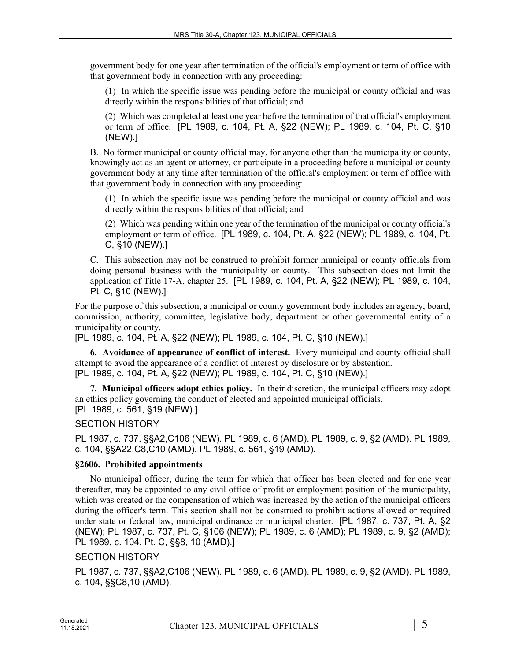government body for one year after termination of the official's employment or term of office with that government body in connection with any proceeding:

(1) In which the specific issue was pending before the municipal or county official and was directly within the responsibilities of that official; and

(2) Which was completed at least one year before the termination of that official's employment or term of office. [PL 1989, c. 104, Pt. A, §22 (NEW); PL 1989, c. 104, Pt. C, §10 (NEW).]

B. No former municipal or county official may, for anyone other than the municipality or county, knowingly act as an agent or attorney, or participate in a proceeding before a municipal or county government body at any time after termination of the official's employment or term of office with that government body in connection with any proceeding:

(1) In which the specific issue was pending before the municipal or county official and was directly within the responsibilities of that official; and

(2) Which was pending within one year of the termination of the municipal or county official's employment or term of office. [PL 1989, c. 104, Pt. A, §22 (NEW); PL 1989, c. 104, Pt. C, §10 (NEW).]

C. This subsection may not be construed to prohibit former municipal or county officials from doing personal business with the municipality or county. This subsection does not limit the application of Title 17‑A, chapter 25. [PL 1989, c. 104, Pt. A, §22 (NEW); PL 1989, c. 104, Pt. C, §10 (NEW).]

For the purpose of this subsection, a municipal or county government body includes an agency, board, commission, authority, committee, legislative body, department or other governmental entity of a municipality or county.

[PL 1989, c. 104, Pt. A, §22 (NEW); PL 1989, c. 104, Pt. C, §10 (NEW).]

**6. Avoidance of appearance of conflict of interest.** Every municipal and county official shall attempt to avoid the appearance of a conflict of interest by disclosure or by abstention. [PL 1989, c. 104, Pt. A, §22 (NEW); PL 1989, c. 104, Pt. C, §10 (NEW).]

**7. Municipal officers adopt ethics policy.** In their discretion, the municipal officers may adopt an ethics policy governing the conduct of elected and appointed municipal officials. [PL 1989, c. 561, §19 (NEW).]

SECTION HISTORY

PL 1987, c. 737, §§A2,C106 (NEW). PL 1989, c. 6 (AMD). PL 1989, c. 9, §2 (AMD). PL 1989, c. 104, §§A22,C8,C10 (AMD). PL 1989, c. 561, §19 (AMD).

### **§2606. Prohibited appointments**

No municipal officer, during the term for which that officer has been elected and for one year thereafter, may be appointed to any civil office of profit or employment position of the municipality, which was created or the compensation of which was increased by the action of the municipal officers during the officer's term. This section shall not be construed to prohibit actions allowed or required under state or federal law, municipal ordinance or municipal charter. [PL 1987, c. 737, Pt. A, §2 (NEW); PL 1987, c. 737, Pt. C, §106 (NEW); PL 1989, c. 6 (AMD); PL 1989, c. 9, §2 (AMD); PL 1989, c. 104, Pt. C, §§8, 10 (AMD).]

## SECTION HISTORY

PL 1987, c. 737, §§A2,C106 (NEW). PL 1989, c. 6 (AMD). PL 1989, c. 9, §2 (AMD). PL 1989, c. 104, §§C8,10 (AMD).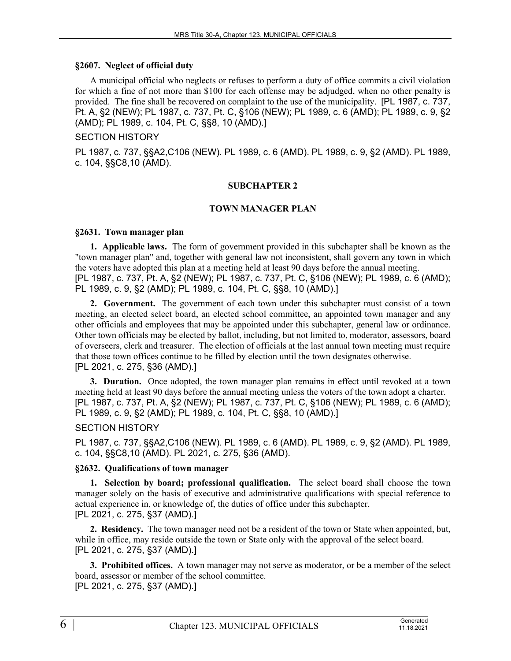### **§2607. Neglect of official duty**

A municipal official who neglects or refuses to perform a duty of office commits a civil violation for which a fine of not more than \$100 for each offense may be adjudged, when no other penalty is provided. The fine shall be recovered on complaint to the use of the municipality. [PL 1987, c. 737, Pt. A, §2 (NEW); PL 1987, c. 737, Pt. C, §106 (NEW); PL 1989, c. 6 (AMD); PL 1989, c. 9, §2 (AMD); PL 1989, c. 104, Pt. C, §§8, 10 (AMD).]

### SECTION HISTORY

PL 1987, c. 737, §§A2,C106 (NEW). PL 1989, c. 6 (AMD). PL 1989, c. 9, §2 (AMD). PL 1989, c. 104, §§C8,10 (AMD).

### **SUBCHAPTER 2**

### **TOWN MANAGER PLAN**

### **§2631. Town manager plan**

**1. Applicable laws.** The form of government provided in this subchapter shall be known as the "town manager plan" and, together with general law not inconsistent, shall govern any town in which the voters have adopted this plan at a meeting held at least 90 days before the annual meeting. [PL 1987, c. 737, Pt. A, §2 (NEW); PL 1987, c. 737, Pt. C, §106 (NEW); PL 1989, c. 6 (AMD); PL 1989, c. 9, §2 (AMD); PL 1989, c. 104, Pt. C, §§8, 10 (AMD).]

**2. Government.** The government of each town under this subchapter must consist of a town meeting, an elected select board, an elected school committee, an appointed town manager and any other officials and employees that may be appointed under this subchapter, general law or ordinance. Other town officials may be elected by ballot, including, but not limited to, moderator, assessors, board of overseers, clerk and treasurer. The election of officials at the last annual town meeting must require that those town offices continue to be filled by election until the town designates otherwise. [PL 2021, c. 275, §36 (AMD).]

**3. Duration.** Once adopted, the town manager plan remains in effect until revoked at a town meeting held at least 90 days before the annual meeting unless the voters of the town adopt a charter. [PL 1987, c. 737, Pt. A, §2 (NEW); PL 1987, c. 737, Pt. C, §106 (NEW); PL 1989, c. 6 (AMD); PL 1989, c. 9, §2 (AMD); PL 1989, c. 104, Pt. C, §§8, 10 (AMD).]

### SECTION HISTORY

PL 1987, c. 737, §§A2,C106 (NEW). PL 1989, c. 6 (AMD). PL 1989, c. 9, §2 (AMD). PL 1989, c. 104, §§C8,10 (AMD). PL 2021, c. 275, §36 (AMD).

### **§2632. Qualifications of town manager**

**1. Selection by board; professional qualification.** The select board shall choose the town manager solely on the basis of executive and administrative qualifications with special reference to actual experience in, or knowledge of, the duties of office under this subchapter. [PL 2021, c. 275, §37 (AMD).]

**2. Residency.** The town manager need not be a resident of the town or State when appointed, but, while in office, may reside outside the town or State only with the approval of the select board. [PL 2021, c. 275, §37 (AMD).]

**3. Prohibited offices.** A town manager may not serve as moderator, or be a member of the select board, assessor or member of the school committee. [PL 2021, c. 275, §37 (AMD).]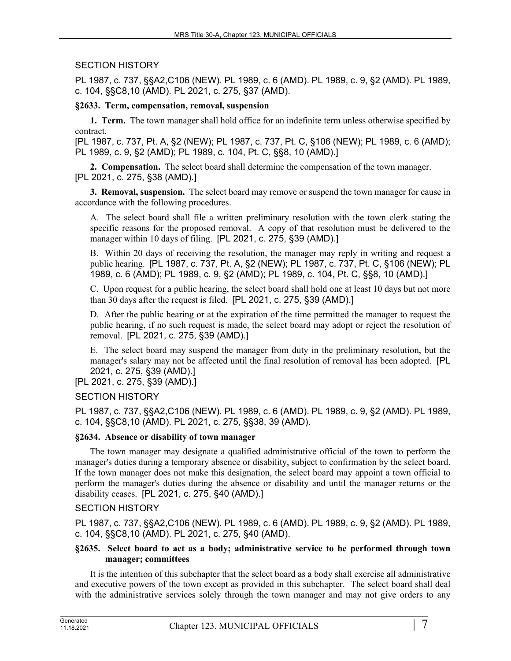## SECTION HISTORY

PL 1987, c. 737, §§A2,C106 (NEW). PL 1989, c. 6 (AMD). PL 1989, c. 9, §2 (AMD). PL 1989, c. 104, §§C8,10 (AMD). PL 2021, c. 275, §37 (AMD).

## **§2633. Term, compensation, removal, suspension**

**1. Term.** The town manager shall hold office for an indefinite term unless otherwise specified by contract.

[PL 1987, c. 737, Pt. A, §2 (NEW); PL 1987, c. 737, Pt. C, §106 (NEW); PL 1989, c. 6 (AMD); PL 1989, c. 9, §2 (AMD); PL 1989, c. 104, Pt. C, §§8, 10 (AMD).]

**2. Compensation.** The select board shall determine the compensation of the town manager. [PL 2021, c. 275, §38 (AMD).]

**3. Removal, suspension.** The select board may remove or suspend the town manager for cause in accordance with the following procedures.

A. The select board shall file a written preliminary resolution with the town clerk stating the specific reasons for the proposed removal. A copy of that resolution must be delivered to the manager within 10 days of filing. [PL 2021, c. 275, §39 (AMD).]

B. Within 20 days of receiving the resolution, the manager may reply in writing and request a public hearing. [PL 1987, c. 737, Pt. A, §2 (NEW); PL 1987, c. 737, Pt. C, §106 (NEW); PL 1989, c. 6 (AMD); PL 1989, c. 9, §2 (AMD); PL 1989, c. 104, Pt. C, §§8, 10 (AMD).]

C. Upon request for a public hearing, the select board shall hold one at least 10 days but not more than 30 days after the request is filed. [PL 2021, c. 275, §39 (AMD).]

D. After the public hearing or at the expiration of the time permitted the manager to request the public hearing, if no such request is made, the select board may adopt or reject the resolution of removal. [PL 2021, c. 275, §39 (AMD).]

E. The select board may suspend the manager from duty in the preliminary resolution, but the manager's salary may not be affected until the final resolution of removal has been adopted. [PL 2021, c. 275, §39 (AMD).]

[PL 2021, c. 275, §39 (AMD).]

## SECTION HISTORY

PL 1987, c. 737, §§A2,C106 (NEW). PL 1989, c. 6 (AMD). PL 1989, c. 9, §2 (AMD). PL 1989, c. 104, §§C8,10 (AMD). PL 2021, c. 275, §§38, 39 (AMD).

## **§2634. Absence or disability of town manager**

The town manager may designate a qualified administrative official of the town to perform the manager's duties during a temporary absence or disability, subject to confirmation by the select board. If the town manager does not make this designation, the select board may appoint a town official to perform the manager's duties during the absence or disability and until the manager returns or the disability ceases. [PL 2021, c. 275, §40 (AMD).]

## SECTION HISTORY

PL 1987, c. 737, §§A2,C106 (NEW). PL 1989, c. 6 (AMD). PL 1989, c. 9, §2 (AMD). PL 1989, c. 104, §§C8,10 (AMD). PL 2021, c. 275, §40 (AMD).

### **§2635. Select board to act as a body; administrative service to be performed through town manager; committees**

It is the intention of this subchapter that the select board as a body shall exercise all administrative and executive powers of the town except as provided in this subchapter. The select board shall deal with the administrative services solely through the town manager and may not give orders to any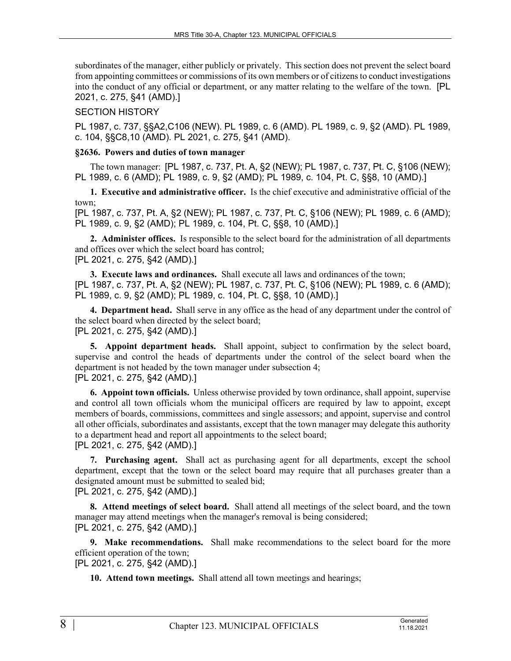subordinates of the manager, either publicly or privately. This section does not prevent the select board from appointing committees or commissions of its own members or of citizens to conduct investigations into the conduct of any official or department, or any matter relating to the welfare of the town. [PL 2021, c. 275, §41 (AMD).]

## SECTION HISTORY

PL 1987, c. 737, §§A2,C106 (NEW). PL 1989, c. 6 (AMD). PL 1989, c. 9, §2 (AMD). PL 1989, c. 104, §§C8,10 (AMD). PL 2021, c. 275, §41 (AMD).

## **§2636. Powers and duties of town manager**

The town manager: [PL 1987, c. 737, Pt. A, §2 (NEW); PL 1987, c. 737, Pt. C, §106 (NEW); PL 1989, c. 6 (AMD); PL 1989, c. 9, §2 (AMD); PL 1989, c. 104, Pt. C, §§8, 10 (AMD).]

**1. Executive and administrative officer.** Is the chief executive and administrative official of the town;

[PL 1987, c. 737, Pt. A, §2 (NEW); PL 1987, c. 737, Pt. C, §106 (NEW); PL 1989, c. 6 (AMD); PL 1989, c. 9, §2 (AMD); PL 1989, c. 104, Pt. C, §§8, 10 (AMD).]

**2. Administer offices.** Is responsible to the select board for the administration of all departments and offices over which the select board has control; [PL 2021, c. 275, §42 (AMD).]

**3. Execute laws and ordinances.** Shall execute all laws and ordinances of the town; [PL 1987, c. 737, Pt. A, §2 (NEW); PL 1987, c. 737, Pt. C, §106 (NEW); PL 1989, c. 6 (AMD); PL 1989, c. 9, §2 (AMD); PL 1989, c. 104, Pt. C, §§8, 10 (AMD).]

**4. Department head.** Shall serve in any office as the head of any department under the control of the select board when directed by the select board; [PL 2021, c. 275, §42 (AMD).]

**5. Appoint department heads.** Shall appoint, subject to confirmation by the select board, supervise and control the heads of departments under the control of the select board when the department is not headed by the town manager under subsection 4; [PL 2021, c. 275, §42 (AMD).]

**6. Appoint town officials.** Unless otherwise provided by town ordinance, shall appoint, supervise and control all town officials whom the municipal officers are required by law to appoint, except members of boards, commissions, committees and single assessors; and appoint, supervise and control all other officials, subordinates and assistants, except that the town manager may delegate this authority to a department head and report all appointments to the select board; [PL 2021, c. 275, §42 (AMD).]

**7. Purchasing agent.** Shall act as purchasing agent for all departments, except the school department, except that the town or the select board may require that all purchases greater than a designated amount must be submitted to sealed bid; [PL 2021, c. 275, §42 (AMD).]

**8. Attend meetings of select board.** Shall attend all meetings of the select board, and the town manager may attend meetings when the manager's removal is being considered; [PL 2021, c. 275, §42 (AMD).]

**9. Make recommendations.** Shall make recommendations to the select board for the more efficient operation of the town;

[PL 2021, c. 275, §42 (AMD).]

**10. Attend town meetings.** Shall attend all town meetings and hearings;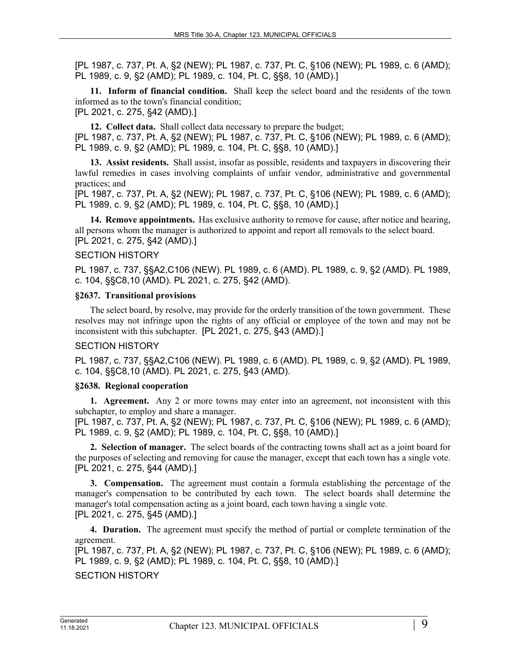[PL 1987, c. 737, Pt. A, §2 (NEW); PL 1987, c. 737, Pt. C, §106 (NEW); PL 1989, c. 6 (AMD); PL 1989, c. 9, §2 (AMD); PL 1989, c. 104, Pt. C, §§8, 10 (AMD).]

**11. Inform of financial condition.** Shall keep the select board and the residents of the town informed as to the town's financial condition; [PL 2021, c. 275, §42 (AMD).]

**12. Collect data.** Shall collect data necessary to prepare the budget; [PL 1987, c. 737, Pt. A, §2 (NEW); PL 1987, c. 737, Pt. C, §106 (NEW); PL 1989, c. 6 (AMD); PL 1989, c. 9, §2 (AMD); PL 1989, c. 104, Pt. C, §§8, 10 (AMD).]

**13. Assist residents.** Shall assist, insofar as possible, residents and taxpayers in discovering their lawful remedies in cases involving complaints of unfair vendor, administrative and governmental practices; and

[PL 1987, c. 737, Pt. A, §2 (NEW); PL 1987, c. 737, Pt. C, §106 (NEW); PL 1989, c. 6 (AMD); PL 1989, c. 9, §2 (AMD); PL 1989, c. 104, Pt. C, §§8, 10 (AMD).]

**14. Remove appointments.** Has exclusive authority to remove for cause, after notice and hearing, all persons whom the manager is authorized to appoint and report all removals to the select board. [PL 2021, c. 275, §42 (AMD).]

### SECTION HISTORY

PL 1987, c. 737, §§A2,C106 (NEW). PL 1989, c. 6 (AMD). PL 1989, c. 9, §2 (AMD). PL 1989, c. 104, §§C8,10 (AMD). PL 2021, c. 275, §42 (AMD).

### **§2637. Transitional provisions**

The select board, by resolve, may provide for the orderly transition of the town government. These resolves may not infringe upon the rights of any official or employee of the town and may not be inconsistent with this subchapter. [PL 2021, c. 275, §43 (AMD).]

## SECTION HISTORY

PL 1987, c. 737, §§A2,C106 (NEW). PL 1989, c. 6 (AMD). PL 1989, c. 9, §2 (AMD). PL 1989, c. 104, §§C8,10 (AMD). PL 2021, c. 275, §43 (AMD).

### **§2638. Regional cooperation**

**1. Agreement.** Any 2 or more towns may enter into an agreement, not inconsistent with this subchapter, to employ and share a manager.

[PL 1987, c. 737, Pt. A, §2 (NEW); PL 1987, c. 737, Pt. C, §106 (NEW); PL 1989, c. 6 (AMD); PL 1989, c. 9, §2 (AMD); PL 1989, c. 104, Pt. C, §§8, 10 (AMD).]

**2. Selection of manager.** The select boards of the contracting towns shall act as a joint board for the purposes of selecting and removing for cause the manager, except that each town has a single vote. [PL 2021, c. 275, §44 (AMD).]

**3. Compensation.** The agreement must contain a formula establishing the percentage of the manager's compensation to be contributed by each town. The select boards shall determine the manager's total compensation acting as a joint board, each town having a single vote. [PL 2021, c. 275, §45 (AMD).]

**4. Duration.** The agreement must specify the method of partial or complete termination of the agreement.

[PL 1987, c. 737, Pt. A, §2 (NEW); PL 1987, c. 737, Pt. C, §106 (NEW); PL 1989, c. 6 (AMD); PL 1989, c. 9, §2 (AMD); PL 1989, c. 104, Pt. C, §§8, 10 (AMD).]

## SECTION HISTORY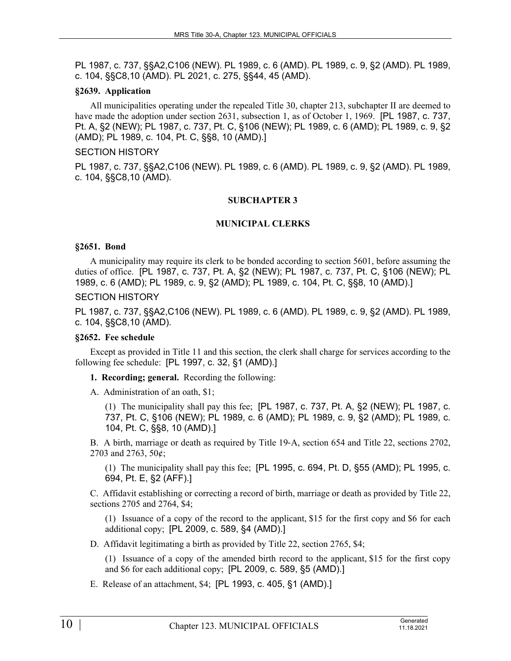PL 1987, c. 737, §§A2,C106 (NEW). PL 1989, c. 6 (AMD). PL 1989, c. 9, §2 (AMD). PL 1989, c. 104, §§C8,10 (AMD). PL 2021, c. 275, §§44, 45 (AMD).

### **§2639. Application**

All municipalities operating under the repealed Title 30, chapter 213, subchapter II are deemed to have made the adoption under section 2631, subsection 1, as of October 1, 1969. [PL 1987, c. 737, Pt. A, §2 (NEW); PL 1987, c. 737, Pt. C, §106 (NEW); PL 1989, c. 6 (AMD); PL 1989, c. 9, §2 (AMD); PL 1989, c. 104, Pt. C, §§8, 10 (AMD).]

### SECTION HISTORY

PL 1987, c. 737, §§A2,C106 (NEW). PL 1989, c. 6 (AMD). PL 1989, c. 9, §2 (AMD). PL 1989, c. 104, §§C8,10 (AMD).

### **SUBCHAPTER 3**

### **MUNICIPAL CLERKS**

### **§2651. Bond**

A municipality may require its clerk to be bonded according to section 5601, before assuming the duties of office. [PL 1987, c. 737, Pt. A, §2 (NEW); PL 1987, c. 737, Pt. C, §106 (NEW); PL 1989, c. 6 (AMD); PL 1989, c. 9, §2 (AMD); PL 1989, c. 104, Pt. C, §§8, 10 (AMD).]

### SECTION HISTORY

PL 1987, c. 737, §§A2,C106 (NEW). PL 1989, c. 6 (AMD). PL 1989, c. 9, §2 (AMD). PL 1989, c. 104, §§C8,10 (AMD).

## **§2652. Fee schedule**

Except as provided in Title 11 and this section, the clerk shall charge for services according to the following fee schedule: [PL 1997, c. 32, §1 (AMD).]

**1. Recording; general.** Recording the following:

A. Administration of an oath, \$1;

(1) The municipality shall pay this fee; [PL 1987, c. 737, Pt. A, §2 (NEW); PL 1987, c. 737, Pt. C, §106 (NEW); PL 1989, c. 6 (AMD); PL 1989, c. 9, §2 (AMD); PL 1989, c. 104, Pt. C, §§8, 10 (AMD).]

B. A birth, marriage or death as required by Title 19‑A, section 654 and Title 22, sections 2702, 2703 and 2763, 50¢;

(1) The municipality shall pay this fee; [PL 1995, c. 694, Pt. D, §55 (AMD); PL 1995, c. 694, Pt. E, §2 (AFF).]

C. Affidavit establishing or correcting a record of birth, marriage or death as provided by Title 22, sections 2705 and 2764, \$4;

(1) Issuance of a copy of the record to the applicant, \$15 for the first copy and \$6 for each additional copy; [PL 2009, c. 589, §4 (AMD).]

D. Affidavit legitimating a birth as provided by Title 22, section 2765, \$4;

(1) Issuance of a copy of the amended birth record to the applicant, \$15 for the first copy and \$6 for each additional copy; [PL 2009, c. 589, §5 (AMD).]

E. Release of an attachment, \$4; [PL 1993, c. 405, §1 (AMD).]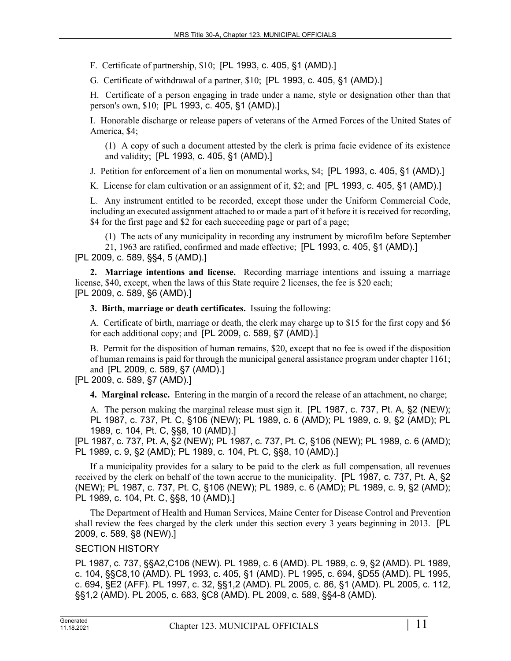F. Certificate of partnership, \$10; [PL 1993, c. 405, §1 (AMD).]

G. Certificate of withdrawal of a partner, \$10; [PL 1993, c. 405, §1 (AMD).]

H. Certificate of a person engaging in trade under a name, style or designation other than that person's own, \$10; [PL 1993, c. 405, §1 (AMD).]

I. Honorable discharge or release papers of veterans of the Armed Forces of the United States of America, \$4;

(1) A copy of such a document attested by the clerk is prima facie evidence of its existence and validity; [PL 1993, c. 405, §1 (AMD).]

J. Petition for enforcement of a lien on monumental works, \$4; [PL 1993, c. 405, §1 (AMD).]

K. License for clam cultivation or an assignment of it, \$2; and [PL 1993, c. 405, §1 (AMD).]

L. Any instrument entitled to be recorded, except those under the Uniform Commercial Code, including an executed assignment attached to or made a part of it before it is received for recording, \$4 for the first page and \$2 for each succeeding page or part of a page;

(1) The acts of any municipality in recording any instrument by microfilm before September 21, 1963 are ratified, confirmed and made effective; [PL 1993, c. 405, §1 (AMD).] [PL 2009, c. 589, §§4, 5 (AMD).]

**2. Marriage intentions and license.** Recording marriage intentions and issuing a marriage license, \$40, except, when the laws of this State require 2 licenses, the fee is \$20 each; [PL 2009, c. 589, §6 (AMD).]

**3. Birth, marriage or death certificates.** Issuing the following:

A. Certificate of birth, marriage or death, the clerk may charge up to \$15 for the first copy and \$6 for each additional copy; and [PL 2009, c. 589, §7 (AMD).]

B. Permit for the disposition of human remains, \$20, except that no fee is owed if the disposition of human remains is paid for through the municipal general assistance program under chapter 1161; and [PL 2009, c. 589, §7 (AMD).]

[PL 2009, c. 589, §7 (AMD).]

**4. Marginal release.** Entering in the margin of a record the release of an attachment, no charge;

A. The person making the marginal release must sign it. [PL 1987, c. 737, Pt. A, §2 (NEW); PL 1987, c. 737, Pt. C, §106 (NEW); PL 1989, c. 6 (AMD); PL 1989, c. 9, §2 (AMD); PL 1989, c. 104, Pt. C, §§8, 10 (AMD).]

[PL 1987, c. 737, Pt. A, §2 (NEW); PL 1987, c. 737, Pt. C, §106 (NEW); PL 1989, c. 6 (AMD); PL 1989, c. 9, §2 (AMD); PL 1989, c. 104, Pt. C, §§8, 10 (AMD).]

If a municipality provides for a salary to be paid to the clerk as full compensation, all revenues received by the clerk on behalf of the town accrue to the municipality. [PL 1987, c. 737, Pt. A, §2 (NEW); PL 1987, c. 737, Pt. C, §106 (NEW); PL 1989, c. 6 (AMD); PL 1989, c. 9, §2 (AMD); PL 1989, c. 104, Pt. C, §§8, 10 (AMD).]

The Department of Health and Human Services, Maine Center for Disease Control and Prevention shall review the fees charged by the clerk under this section every 3 years beginning in 2013. [PL 2009, c. 589, §8 (NEW).]

### SECTION HISTORY

PL 1987, c. 737, §§A2,C106 (NEW). PL 1989, c. 6 (AMD). PL 1989, c. 9, §2 (AMD). PL 1989, c. 104, §§C8,10 (AMD). PL 1993, c. 405, §1 (AMD). PL 1995, c. 694, §D55 (AMD). PL 1995, c. 694, §E2 (AFF). PL 1997, c. 32, §§1,2 (AMD). PL 2005, c. 86, §1 (AMD). PL 2005, c. 112, §§1,2 (AMD). PL 2005, c. 683, §C8 (AMD). PL 2009, c. 589, §§4-8 (AMD).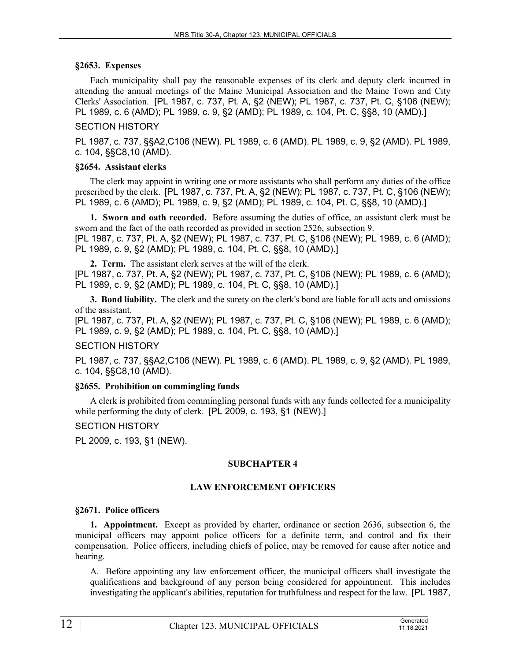### **§2653. Expenses**

Each municipality shall pay the reasonable expenses of its clerk and deputy clerk incurred in attending the annual meetings of the Maine Municipal Association and the Maine Town and City Clerks' Association. [PL 1987, c. 737, Pt. A, §2 (NEW); PL 1987, c. 737, Pt. C, §106 (NEW); PL 1989, c. 6 (AMD); PL 1989, c. 9, §2 (AMD); PL 1989, c. 104, Pt. C, §§8, 10 (AMD).]

### SECTION HISTORY

PL 1987, c. 737, §§A2,C106 (NEW). PL 1989, c. 6 (AMD). PL 1989, c. 9, §2 (AMD). PL 1989, c. 104, §§C8,10 (AMD).

### **§2654. Assistant clerks**

The clerk may appoint in writing one or more assistants who shall perform any duties of the office prescribed by the clerk. [PL 1987, c. 737, Pt. A, §2 (NEW); PL 1987, c. 737, Pt. C, §106 (NEW); PL 1989, c. 6 (AMD); PL 1989, c. 9, §2 (AMD); PL 1989, c. 104, Pt. C, §§8, 10 (AMD).]

**1. Sworn and oath recorded.** Before assuming the duties of office, an assistant clerk must be sworn and the fact of the oath recorded as provided in section 2526, subsection 9.

[PL 1987, c. 737, Pt. A, §2 (NEW); PL 1987, c. 737, Pt. C, §106 (NEW); PL 1989, c. 6 (AMD); PL 1989, c. 9, §2 (AMD); PL 1989, c. 104, Pt. C, §§8, 10 (AMD).]

**2. Term.** The assistant clerk serves at the will of the clerk.

[PL 1987, c. 737, Pt. A, §2 (NEW); PL 1987, c. 737, Pt. C, §106 (NEW); PL 1989, c. 6 (AMD); PL 1989, c. 9, §2 (AMD); PL 1989, c. 104, Pt. C, §§8, 10 (AMD).]

**3. Bond liability.** The clerk and the surety on the clerk's bond are liable for all acts and omissions of the assistant.

[PL 1987, c. 737, Pt. A, §2 (NEW); PL 1987, c. 737, Pt. C, §106 (NEW); PL 1989, c. 6 (AMD); PL 1989, c. 9, §2 (AMD); PL 1989, c. 104, Pt. C, §§8, 10 (AMD).]

## SECTION HISTORY

PL 1987, c. 737, §§A2,C106 (NEW). PL 1989, c. 6 (AMD). PL 1989, c. 9, §2 (AMD). PL 1989, c. 104, §§C8,10 (AMD).

## **§2655. Prohibition on commingling funds**

A clerk is prohibited from commingling personal funds with any funds collected for a municipality while performing the duty of clerk. [PL 2009, c. 193, §1 (NEW).]

## SECTION HISTORY

PL 2009, c. 193, §1 (NEW).

## **SUBCHAPTER 4**

## **LAW ENFORCEMENT OFFICERS**

### **§2671. Police officers**

**1. Appointment.** Except as provided by charter, ordinance or section 2636, subsection 6, the municipal officers may appoint police officers for a definite term, and control and fix their compensation. Police officers, including chiefs of police, may be removed for cause after notice and hearing.

A. Before appointing any law enforcement officer, the municipal officers shall investigate the qualifications and background of any person being considered for appointment. This includes investigating the applicant's abilities, reputation for truthfulness and respect for the law. [PL 1987,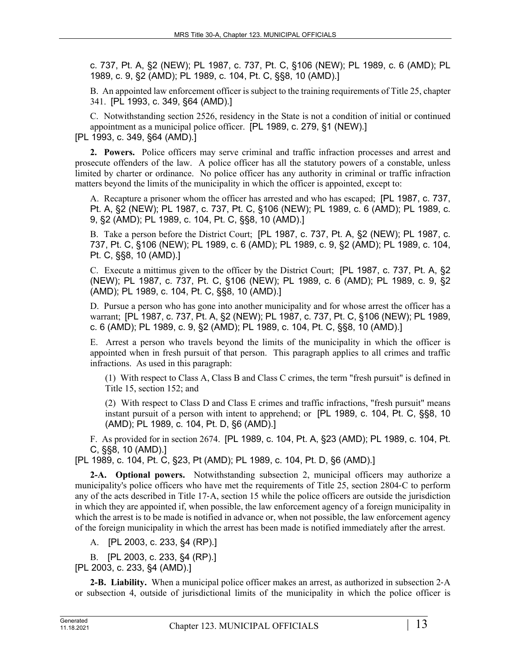c. 737, Pt. A, §2 (NEW); PL 1987, c. 737, Pt. C, §106 (NEW); PL 1989, c. 6 (AMD); PL 1989, c. 9, §2 (AMD); PL 1989, c. 104, Pt. C, §§8, 10 (AMD).]

B. An appointed law enforcement officer is subject to the training requirements of Title 25, chapter 341. [PL 1993, c. 349, §64 (AMD).]

C. Notwithstanding section 2526, residency in the State is not a condition of initial or continued appointment as a municipal police officer. [PL 1989, c. 279, §1 (NEW).] [PL 1993, c. 349, §64 (AMD).]

**2. Powers.** Police officers may serve criminal and traffic infraction processes and arrest and prosecute offenders of the law. A police officer has all the statutory powers of a constable, unless limited by charter or ordinance. No police officer has any authority in criminal or traffic infraction

matters beyond the limits of the municipality in which the officer is appointed, except to:

A. Recapture a prisoner whom the officer has arrested and who has escaped; [PL 1987, c. 737, Pt. A, §2 (NEW); PL 1987, c. 737, Pt. C, §106 (NEW); PL 1989, c. 6 (AMD); PL 1989, c. 9, §2 (AMD); PL 1989, c. 104, Pt. C, §§8, 10 (AMD).]

B. Take a person before the District Court; [PL 1987, c. 737, Pt. A, §2 (NEW); PL 1987, c. 737, Pt. C, §106 (NEW); PL 1989, c. 6 (AMD); PL 1989, c. 9, §2 (AMD); PL 1989, c. 104, Pt. C, §§8, 10 (AMD).]

C. Execute a mittimus given to the officer by the District Court; [PL 1987, c. 737, Pt. A, §2 (NEW); PL 1987, c. 737, Pt. C, §106 (NEW); PL 1989, c. 6 (AMD); PL 1989, c. 9, §2 (AMD); PL 1989, c. 104, Pt. C, §§8, 10 (AMD).]

D. Pursue a person who has gone into another municipality and for whose arrest the officer has a warrant; [PL 1987, c. 737, Pt. A, §2 (NEW); PL 1987, c. 737, Pt. C, §106 (NEW); PL 1989, c. 6 (AMD); PL 1989, c. 9, §2 (AMD); PL 1989, c. 104, Pt. C, §§8, 10 (AMD).]

E. Arrest a person who travels beyond the limits of the municipality in which the officer is appointed when in fresh pursuit of that person. This paragraph applies to all crimes and traffic infractions. As used in this paragraph:

(1) With respect to Class A, Class B and Class C crimes, the term "fresh pursuit" is defined in Title 15, section 152; and

(2) With respect to Class D and Class E crimes and traffic infractions, "fresh pursuit" means instant pursuit of a person with intent to apprehend; or [PL 1989, c. 104, Pt. C, §§8, 10 (AMD); PL 1989, c. 104, Pt. D, §6 (AMD).]

F. As provided for in section 2674. [PL 1989, c. 104, Pt. A, §23 (AMD); PL 1989, c. 104, Pt. C, §§8, 10 (AMD).]

[PL 1989, c. 104, Pt. C, §23, Pt (AMD); PL 1989, c. 104, Pt. D, §6 (AMD).]

**2-A. Optional powers.** Notwithstanding subsection 2, municipal officers may authorize a municipality's police officers who have met the requirements of Title 25, section 2804‑C to perform any of the acts described in Title 17‑A, section 15 while the police officers are outside the jurisdiction in which they are appointed if, when possible, the law enforcement agency of a foreign municipality in which the arrest is to be made is notified in advance or, when not possible, the law enforcement agency of the foreign municipality in which the arrest has been made is notified immediately after the arrest.

A. [PL 2003, c. 233, §4 (RP).]

B. [PL 2003, c. 233, §4 (RP).] [PL 2003, c. 233, §4 (AMD).]

**2-B. Liability.** When a municipal police officer makes an arrest, as authorized in subsection 2‑A or subsection 4, outside of jurisdictional limits of the municipality in which the police officer is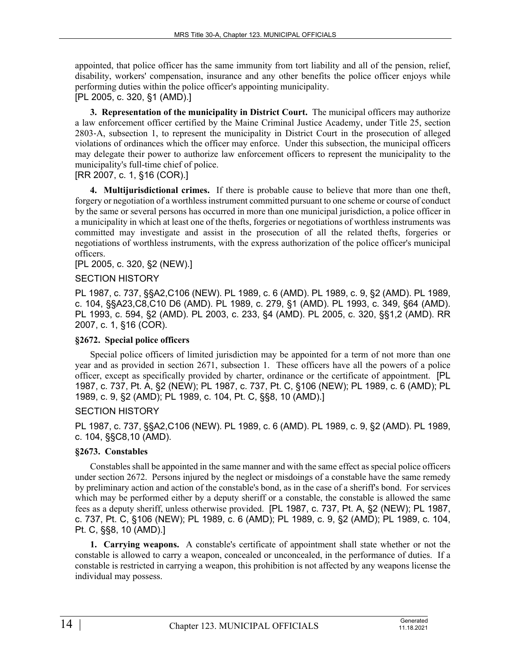appointed, that police officer has the same immunity from tort liability and all of the pension, relief, disability, workers' compensation, insurance and any other benefits the police officer enjoys while performing duties within the police officer's appointing municipality.

[PL 2005, c. 320, §1 (AMD).]

**3. Representation of the municipality in District Court.** The municipal officers may authorize a law enforcement officer certified by the Maine Criminal Justice Academy, under Title 25, section 2803‑A, subsection 1, to represent the municipality in District Court in the prosecution of alleged violations of ordinances which the officer may enforce. Under this subsection, the municipal officers may delegate their power to authorize law enforcement officers to represent the municipality to the municipality's full-time chief of police.

# [RR 2007, c. 1, §16 (COR).]

**4. Multijurisdictional crimes.** If there is probable cause to believe that more than one theft, forgery or negotiation of a worthless instrument committed pursuant to one scheme or course of conduct by the same or several persons has occurred in more than one municipal jurisdiction, a police officer in a municipality in which at least one of the thefts, forgeries or negotiations of worthless instruments was committed may investigate and assist in the prosecution of all the related thefts, forgeries or negotiations of worthless instruments, with the express authorization of the police officer's municipal officers.

[PL 2005, c. 320, §2 (NEW).]

## SECTION HISTORY

PL 1987, c. 737, §§A2,C106 (NEW). PL 1989, c. 6 (AMD). PL 1989, c. 9, §2 (AMD). PL 1989, c. 104, §§A23,C8,C10 D6 (AMD). PL 1989, c. 279, §1 (AMD). PL 1993, c. 349, §64 (AMD). PL 1993, c. 594, §2 (AMD). PL 2003, c. 233, §4 (AMD). PL 2005, c. 320, §§1,2 (AMD). RR 2007, c. 1, §16 (COR).

## **§2672. Special police officers**

Special police officers of limited jurisdiction may be appointed for a term of not more than one year and as provided in section 2671, subsection 1. These officers have all the powers of a police officer, except as specifically provided by charter, ordinance or the certificate of appointment. [PL 1987, c. 737, Pt. A, §2 (NEW); PL 1987, c. 737, Pt. C, §106 (NEW); PL 1989, c. 6 (AMD); PL 1989, c. 9, §2 (AMD); PL 1989, c. 104, Pt. C, §§8, 10 (AMD).]

## SECTION HISTORY

PL 1987, c. 737, §§A2,C106 (NEW). PL 1989, c. 6 (AMD). PL 1989, c. 9, §2 (AMD). PL 1989, c. 104, §§C8,10 (AMD).

## **§2673. Constables**

Constables shall be appointed in the same manner and with the same effect as special police officers under section 2672. Persons injured by the neglect or misdoings of a constable have the same remedy by preliminary action and action of the constable's bond, as in the case of a sheriff's bond. For services which may be performed either by a deputy sheriff or a constable, the constable is allowed the same fees as a deputy sheriff, unless otherwise provided. [PL 1987, c. 737, Pt. A, §2 (NEW); PL 1987, c. 737, Pt. C, §106 (NEW); PL 1989, c. 6 (AMD); PL 1989, c. 9, §2 (AMD); PL 1989, c. 104, Pt. C, §§8, 10 (AMD).]

**1. Carrying weapons.** A constable's certificate of appointment shall state whether or not the constable is allowed to carry a weapon, concealed or unconcealed, in the performance of duties. If a constable is restricted in carrying a weapon, this prohibition is not affected by any weapons license the individual may possess.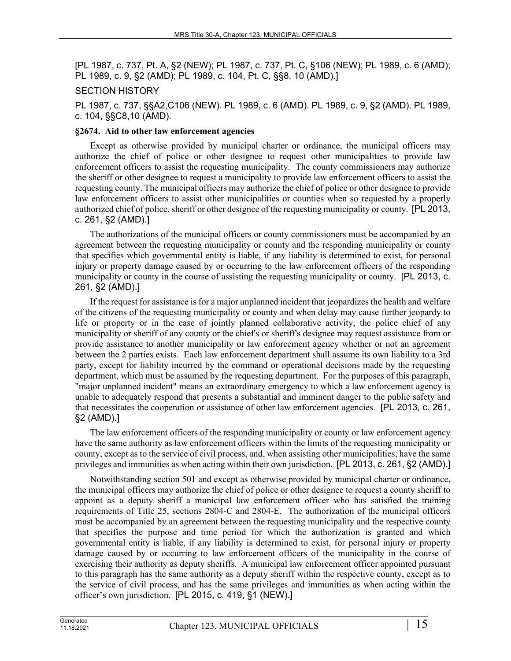[PL 1987, c. 737, Pt. A, §2 (NEW); PL 1987, c. 737, Pt. C, §106 (NEW); PL 1989, c. 6 (AMD); PL 1989, c. 9, §2 (AMD); PL 1989, c. 104, Pt. C, §§8, 10 (AMD).]

### SECTION HISTORY

PL 1987, c. 737, §§A2,C106 (NEW). PL 1989, c. 6 (AMD). PL 1989, c. 9, §2 (AMD). PL 1989, c. 104, §§C8,10 (AMD).

### **§2674. Aid to other law enforcement agencies**

Except as otherwise provided by municipal charter or ordinance, the municipal officers may authorize the chief of police or other designee to request other municipalities to provide law enforcement officers to assist the requesting municipality. The county commissioners may authorize the sheriff or other designee to request a municipality to provide law enforcement officers to assist the requesting county. The municipal officers may authorize the chief of police or other designee to provide law enforcement officers to assist other municipalities or counties when so requested by a properly authorized chief of police, sheriff or other designee of the requesting municipality or county. [PL 2013, c. 261, §2 (AMD).]

The authorizations of the municipal officers or county commissioners must be accompanied by an agreement between the requesting municipality or county and the responding municipality or county that specifies which governmental entity is liable, if any liability is determined to exist, for personal injury or property damage caused by or occurring to the law enforcement officers of the responding municipality or county in the course of assisting the requesting municipality or county. [PL 2013, c. 261, §2 (AMD).]

If the request for assistance is for a major unplanned incident that jeopardizes the health and welfare of the citizens of the requesting municipality or county and when delay may cause further jeopardy to life or property or in the case of jointly planned collaborative activity, the police chief of any municipality or sheriff of any county or the chief's or sheriff's designee may request assistance from or provide assistance to another municipality or law enforcement agency whether or not an agreement between the 2 parties exists. Each law enforcement department shall assume its own liability to a 3rd party, except for liability incurred by the command or operational decisions made by the requesting department, which must be assumed by the requesting department. For the purposes of this paragraph, "major unplanned incident" means an extraordinary emergency to which a law enforcement agency is unable to adequately respond that presents a substantial and imminent danger to the public safety and that necessitates the cooperation or assistance of other law enforcement agencies. [PL 2013, c. 261, §2 (AMD).]

The law enforcement officers of the responding municipality or county or law enforcement agency have the same authority as law enforcement officers within the limits of the requesting municipality or county, except as to the service of civil process, and, when assisting other municipalities, have the same privileges and immunities as when acting within their own jurisdiction. [PL 2013, c. 261, §2 (AMD).]

Notwithstanding section 501 and except as otherwise provided by municipal charter or ordinance, the municipal officers may authorize the chief of police or other designee to request a county sheriff to appoint as a deputy sheriff a municipal law enforcement officer who has satisfied the training requirements of Title 25, sections 2804-C and 2804-E. The authorization of the municipal officers must be accompanied by an agreement between the requesting municipality and the respective county that specifies the purpose and time period for which the authorization is granted and which governmental entity is liable, if any liability is determined to exist, for personal injury or property damage caused by or occurring to law enforcement officers of the municipality in the course of exercising their authority as deputy sheriffs. A municipal law enforcement officer appointed pursuant to this paragraph has the same authority as a deputy sheriff within the respective county, except as to the service of civil process, and has the same privileges and immunities as when acting within the officer's own jurisdiction. [PL 2015, c. 419, §1 (NEW).]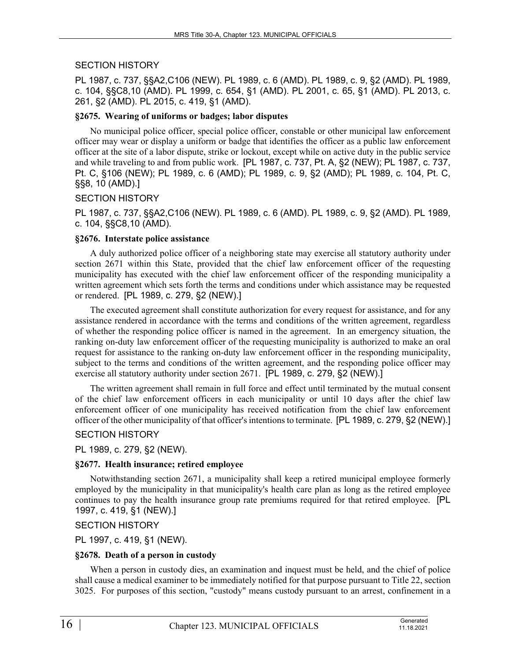## SECTION HISTORY

PL 1987, c. 737, §§A2,C106 (NEW). PL 1989, c. 6 (AMD). PL 1989, c. 9, §2 (AMD). PL 1989, c. 104, §§C8,10 (AMD). PL 1999, c. 654, §1 (AMD). PL 2001, c. 65, §1 (AMD). PL 2013, c. 261, §2 (AMD). PL 2015, c. 419, §1 (AMD).

### **§2675. Wearing of uniforms or badges; labor disputes**

No municipal police officer, special police officer, constable or other municipal law enforcement officer may wear or display a uniform or badge that identifies the officer as a public law enforcement officer at the site of a labor dispute, strike or lockout, except while on active duty in the public service and while traveling to and from public work. [PL 1987, c. 737, Pt. A, §2 (NEW); PL 1987, c. 737, Pt. C, §106 (NEW); PL 1989, c. 6 (AMD); PL 1989, c. 9, §2 (AMD); PL 1989, c. 104, Pt. C, §§8, 10 (AMD).]

### SECTION HISTORY

PL 1987, c. 737, §§A2,C106 (NEW). PL 1989, c. 6 (AMD). PL 1989, c. 9, §2 (AMD). PL 1989, c. 104, §§C8,10 (AMD).

### **§2676. Interstate police assistance**

A duly authorized police officer of a neighboring state may exercise all statutory authority under section 2671 within this State, provided that the chief law enforcement officer of the requesting municipality has executed with the chief law enforcement officer of the responding municipality a written agreement which sets forth the terms and conditions under which assistance may be requested or rendered. [PL 1989, c. 279, §2 (NEW).]

The executed agreement shall constitute authorization for every request for assistance, and for any assistance rendered in accordance with the terms and conditions of the written agreement, regardless of whether the responding police officer is named in the agreement. In an emergency situation, the ranking on-duty law enforcement officer of the requesting municipality is authorized to make an oral request for assistance to the ranking on-duty law enforcement officer in the responding municipality, subject to the terms and conditions of the written agreement, and the responding police officer may exercise all statutory authority under section 2671. [PL 1989, c. 279, §2 (NEW).]

The written agreement shall remain in full force and effect until terminated by the mutual consent of the chief law enforcement officers in each municipality or until 10 days after the chief law enforcement officer of one municipality has received notification from the chief law enforcement officer of the other municipality of that officer's intentions to terminate. [PL 1989, c. 279, §2 (NEW).]

## SECTION HISTORY

PL 1989, c. 279, §2 (NEW).

### **§2677. Health insurance; retired employee**

Notwithstanding section 2671, a municipality shall keep a retired municipal employee formerly employed by the municipality in that municipality's health care plan as long as the retired employee continues to pay the health insurance group rate premiums required for that retired employee. [PL 1997, c. 419, §1 (NEW).]

### SECTION HISTORY

PL 1997, c. 419, §1 (NEW).

### **§2678. Death of a person in custody**

When a person in custody dies, an examination and inquest must be held, and the chief of police shall cause a medical examiner to be immediately notified for that purpose pursuant to Title 22, section 3025. For purposes of this section, "custody" means custody pursuant to an arrest, confinement in a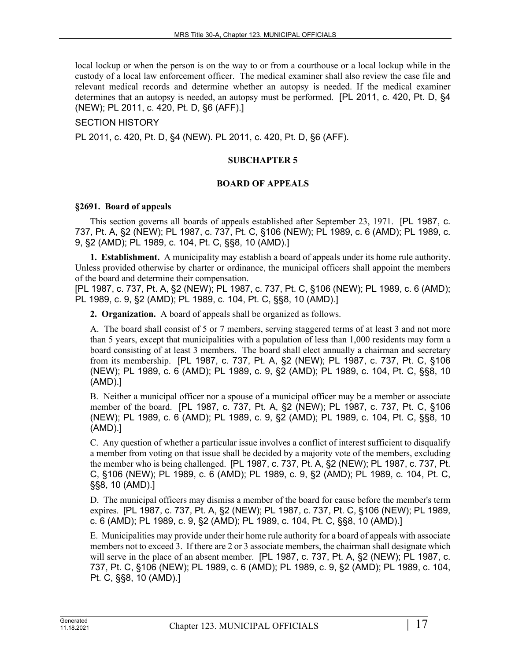local lockup or when the person is on the way to or from a courthouse or a local lockup while in the custody of a local law enforcement officer. The medical examiner shall also review the case file and relevant medical records and determine whether an autopsy is needed. If the medical examiner determines that an autopsy is needed, an autopsy must be performed. [PL 2011, c. 420, Pt. D, §4 (NEW); PL 2011, c. 420, Pt. D, §6 (AFF).]

SECTION HISTORY

PL 2011, c. 420, Pt. D, §4 (NEW). PL 2011, c. 420, Pt. D, §6 (AFF).

### **SUBCHAPTER 5**

### **BOARD OF APPEALS**

### **§2691. Board of appeals**

This section governs all boards of appeals established after September 23, 1971. [PL 1987, c. 737, Pt. A, §2 (NEW); PL 1987, c. 737, Pt. C, §106 (NEW); PL 1989, c. 6 (AMD); PL 1989, c. 9, §2 (AMD); PL 1989, c. 104, Pt. C, §§8, 10 (AMD).]

**1. Establishment.** A municipality may establish a board of appeals under its home rule authority. Unless provided otherwise by charter or ordinance, the municipal officers shall appoint the members of the board and determine their compensation.

[PL 1987, c. 737, Pt. A, §2 (NEW); PL 1987, c. 737, Pt. C, §106 (NEW); PL 1989, c. 6 (AMD); PL 1989, c. 9, §2 (AMD); PL 1989, c. 104, Pt. C, §§8, 10 (AMD).]

**2. Organization.** A board of appeals shall be organized as follows.

A. The board shall consist of 5 or 7 members, serving staggered terms of at least 3 and not more than 5 years, except that municipalities with a population of less than 1,000 residents may form a board consisting of at least 3 members. The board shall elect annually a chairman and secretary from its membership. [PL 1987, c. 737, Pt. A, §2 (NEW); PL 1987, c. 737, Pt. C, §106 (NEW); PL 1989, c. 6 (AMD); PL 1989, c. 9, §2 (AMD); PL 1989, c. 104, Pt. C, §§8, 10 (AMD).]

B. Neither a municipal officer nor a spouse of a municipal officer may be a member or associate member of the board. [PL 1987, c. 737, Pt. A, §2 (NEW); PL 1987, c. 737, Pt. C, §106 (NEW); PL 1989, c. 6 (AMD); PL 1989, c. 9, §2 (AMD); PL 1989, c. 104, Pt. C, §§8, 10 (AMD).]

C. Any question of whether a particular issue involves a conflict of interest sufficient to disqualify a member from voting on that issue shall be decided by a majority vote of the members, excluding the member who is being challenged. [PL 1987, c. 737, Pt. A, §2 (NEW); PL 1987, c. 737, Pt. C, §106 (NEW); PL 1989, c. 6 (AMD); PL 1989, c. 9, §2 (AMD); PL 1989, c. 104, Pt. C, §§8, 10 (AMD).]

D. The municipal officers may dismiss a member of the board for cause before the member's term expires. [PL 1987, c. 737, Pt. A, §2 (NEW); PL 1987, c. 737, Pt. C, §106 (NEW); PL 1989, c. 6 (AMD); PL 1989, c. 9, §2 (AMD); PL 1989, c. 104, Pt. C, §§8, 10 (AMD).]

E. Municipalities may provide under their home rule authority for a board of appeals with associate members not to exceed 3. If there are 2 or 3 associate members, the chairman shall designate which will serve in the place of an absent member. [PL 1987, c. 737, Pt. A, §2 (NEW); PL 1987, c. 737, Pt. C, §106 (NEW); PL 1989, c. 6 (AMD); PL 1989, c. 9, §2 (AMD); PL 1989, c. 104, Pt. C, §§8, 10 (AMD).]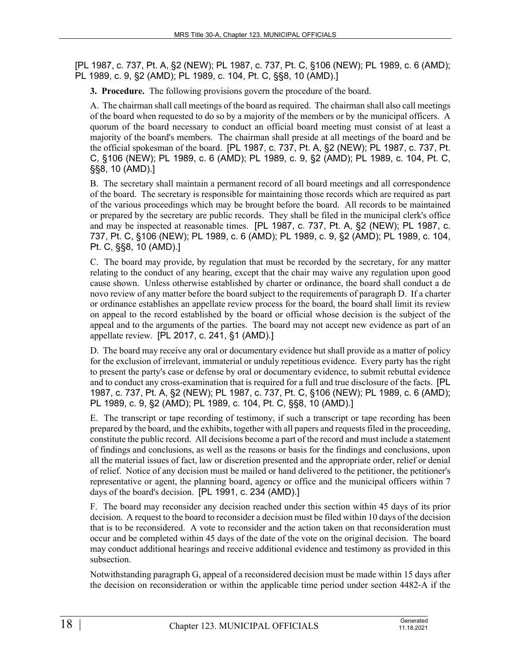[PL 1987, c. 737, Pt. A, §2 (NEW); PL 1987, c. 737, Pt. C, §106 (NEW); PL 1989, c. 6 (AMD); PL 1989, c. 9, §2 (AMD); PL 1989, c. 104, Pt. C, §§8, 10 (AMD).]

**3. Procedure.** The following provisions govern the procedure of the board.

A. The chairman shall call meetings of the board as required. The chairman shall also call meetings of the board when requested to do so by a majority of the members or by the municipal officers. A quorum of the board necessary to conduct an official board meeting must consist of at least a majority of the board's members. The chairman shall preside at all meetings of the board and be the official spokesman of the board. [PL 1987, c. 737, Pt. A, §2 (NEW); PL 1987, c. 737, Pt. C, §106 (NEW); PL 1989, c. 6 (AMD); PL 1989, c. 9, §2 (AMD); PL 1989, c. 104, Pt. C, §§8, 10 (AMD).]

B. The secretary shall maintain a permanent record of all board meetings and all correspondence of the board. The secretary is responsible for maintaining those records which are required as part of the various proceedings which may be brought before the board. All records to be maintained or prepared by the secretary are public records. They shall be filed in the municipal clerk's office and may be inspected at reasonable times. [PL 1987, c. 737, Pt. A, §2 (NEW); PL 1987, c. 737, Pt. C, §106 (NEW); PL 1989, c. 6 (AMD); PL 1989, c. 9, §2 (AMD); PL 1989, c. 104, Pt. C, §§8, 10 (AMD).]

C. The board may provide, by regulation that must be recorded by the secretary, for any matter relating to the conduct of any hearing, except that the chair may waive any regulation upon good cause shown. Unless otherwise established by charter or ordinance, the board shall conduct a de novo review of any matter before the board subject to the requirements of paragraph D. If a charter or ordinance establishes an appellate review process for the board, the board shall limit its review on appeal to the record established by the board or official whose decision is the subject of the appeal and to the arguments of the parties. The board may not accept new evidence as part of an appellate review. [PL 2017, c. 241, §1 (AMD).]

D. The board may receive any oral or documentary evidence but shall provide as a matter of policy for the exclusion of irrelevant, immaterial or unduly repetitious evidence. Every party has the right to present the party's case or defense by oral or documentary evidence, to submit rebuttal evidence and to conduct any cross-examination that is required for a full and true disclosure of the facts. [PL 1987, c. 737, Pt. A, §2 (NEW); PL 1987, c. 737, Pt. C, §106 (NEW); PL 1989, c. 6 (AMD); PL 1989, c. 9, §2 (AMD); PL 1989, c. 104, Pt. C, §§8, 10 (AMD).]

E. The transcript or tape recording of testimony, if such a transcript or tape recording has been prepared by the board, and the exhibits, together with all papers and requests filed in the proceeding, constitute the public record. All decisions become a part of the record and must include a statement of findings and conclusions, as well as the reasons or basis for the findings and conclusions, upon all the material issues of fact, law or discretion presented and the appropriate order, relief or denial of relief. Notice of any decision must be mailed or hand delivered to the petitioner, the petitioner's representative or agent, the planning board, agency or office and the municipal officers within 7 days of the board's decision. [PL 1991, c. 234 (AMD).]

F. The board may reconsider any decision reached under this section within 45 days of its prior decision. A request to the board to reconsider a decision must be filed within 10 days of the decision that is to be reconsidered. A vote to reconsider and the action taken on that reconsideration must occur and be completed within 45 days of the date of the vote on the original decision. The board may conduct additional hearings and receive additional evidence and testimony as provided in this subsection.

Notwithstanding paragraph G, appeal of a reconsidered decision must be made within 15 days after the decision on reconsideration or within the applicable time period under section 4482‑A if the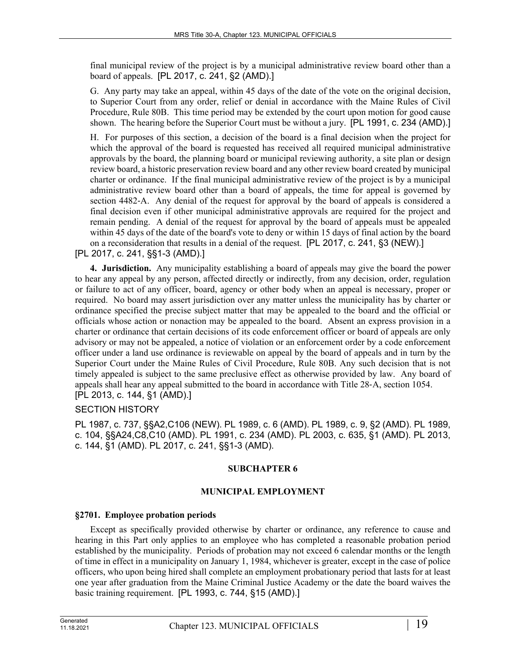final municipal review of the project is by a municipal administrative review board other than a board of appeals. [PL 2017, c. 241, §2 (AMD).]

G. Any party may take an appeal, within 45 days of the date of the vote on the original decision, to Superior Court from any order, relief or denial in accordance with the Maine Rules of Civil Procedure, Rule 80B. This time period may be extended by the court upon motion for good cause shown. The hearing before the Superior Court must be without a jury. [PL 1991, c. 234 (AMD).]

H. For purposes of this section, a decision of the board is a final decision when the project for which the approval of the board is requested has received all required municipal administrative approvals by the board, the planning board or municipal reviewing authority, a site plan or design review board, a historic preservation review board and any other review board created by municipal charter or ordinance. If the final municipal administrative review of the project is by a municipal administrative review board other than a board of appeals, the time for appeal is governed by section 4482‑A. Any denial of the request for approval by the board of appeals is considered a final decision even if other municipal administrative approvals are required for the project and remain pending. A denial of the request for approval by the board of appeals must be appealed within 45 days of the date of the board's vote to deny or within 15 days of final action by the board on a reconsideration that results in a denial of the request. [PL 2017, c. 241, §3 (NEW).]

[PL 2017, c. 241, §§1-3 (AMD).]

**4. Jurisdiction.** Any municipality establishing a board of appeals may give the board the power to hear any appeal by any person, affected directly or indirectly, from any decision, order, regulation or failure to act of any officer, board, agency or other body when an appeal is necessary, proper or required. No board may assert jurisdiction over any matter unless the municipality has by charter or ordinance specified the precise subject matter that may be appealed to the board and the official or officials whose action or nonaction may be appealed to the board. Absent an express provision in a charter or ordinance that certain decisions of its code enforcement officer or board of appeals are only advisory or may not be appealed, a notice of violation or an enforcement order by a code enforcement officer under a land use ordinance is reviewable on appeal by the board of appeals and in turn by the Superior Court under the Maine Rules of Civil Procedure, Rule 80B. Any such decision that is not timely appealed is subject to the same preclusive effect as otherwise provided by law. Any board of appeals shall hear any appeal submitted to the board in accordance with Title 28‑A, section 1054. [PL 2013, c. 144, §1 (AMD).]

## SECTION HISTORY

PL 1987, c. 737, §§A2,C106 (NEW). PL 1989, c. 6 (AMD). PL 1989, c. 9, §2 (AMD). PL 1989, c. 104, §§A24,C8,C10 (AMD). PL 1991, c. 234 (AMD). PL 2003, c. 635, §1 (AMD). PL 2013, c. 144, §1 (AMD). PL 2017, c. 241, §§1-3 (AMD).

## **SUBCHAPTER 6**

### **MUNICIPAL EMPLOYMENT**

## **§2701. Employee probation periods**

Except as specifically provided otherwise by charter or ordinance, any reference to cause and hearing in this Part only applies to an employee who has completed a reasonable probation period established by the municipality. Periods of probation may not exceed 6 calendar months or the length of time in effect in a municipality on January 1, 1984, whichever is greater, except in the case of police officers, who upon being hired shall complete an employment probationary period that lasts for at least one year after graduation from the Maine Criminal Justice Academy or the date the board waives the basic training requirement. [PL 1993, c. 744, §15 (AMD).]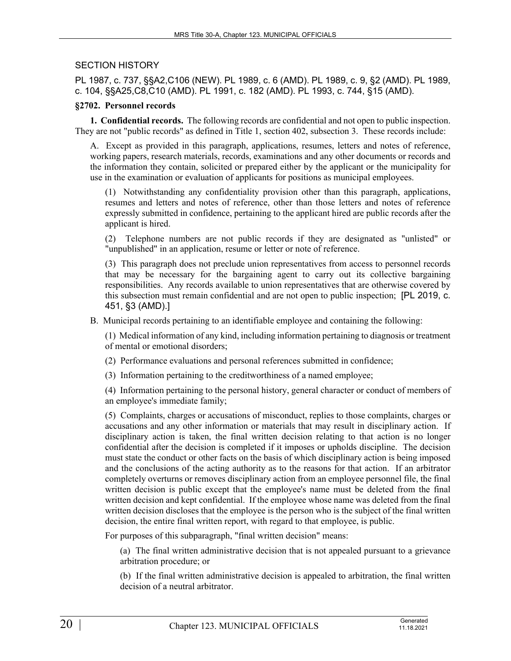## SECTION HISTORY

PL 1987, c. 737, §§A2,C106 (NEW). PL 1989, c. 6 (AMD). PL 1989, c. 9, §2 (AMD). PL 1989, c. 104, §§A25,C8,C10 (AMD). PL 1991, c. 182 (AMD). PL 1993, c. 744, §15 (AMD).

### **§2702. Personnel records**

**1. Confidential records.** The following records are confidential and not open to public inspection. They are not "public records" as defined in Title 1, section 402, subsection 3. These records include:

A. Except as provided in this paragraph, applications, resumes, letters and notes of reference, working papers, research materials, records, examinations and any other documents or records and the information they contain, solicited or prepared either by the applicant or the municipality for use in the examination or evaluation of applicants for positions as municipal employees.

(1) Notwithstanding any confidentiality provision other than this paragraph, applications, resumes and letters and notes of reference, other than those letters and notes of reference expressly submitted in confidence, pertaining to the applicant hired are public records after the applicant is hired.

(2) Telephone numbers are not public records if they are designated as "unlisted" or "unpublished" in an application, resume or letter or note of reference.

(3) This paragraph does not preclude union representatives from access to personnel records that may be necessary for the bargaining agent to carry out its collective bargaining responsibilities. Any records available to union representatives that are otherwise covered by this subsection must remain confidential and are not open to public inspection; [PL 2019, c. 451, §3 (AMD).]

B. Municipal records pertaining to an identifiable employee and containing the following:

(1) Medical information of any kind, including information pertaining to diagnosis or treatment of mental or emotional disorders;

(2) Performance evaluations and personal references submitted in confidence;

(3) Information pertaining to the creditworthiness of a named employee;

(4) Information pertaining to the personal history, general character or conduct of members of an employee's immediate family;

(5) Complaints, charges or accusations of misconduct, replies to those complaints, charges or accusations and any other information or materials that may result in disciplinary action. If disciplinary action is taken, the final written decision relating to that action is no longer confidential after the decision is completed if it imposes or upholds discipline. The decision must state the conduct or other facts on the basis of which disciplinary action is being imposed and the conclusions of the acting authority as to the reasons for that action. If an arbitrator completely overturns or removes disciplinary action from an employee personnel file, the final written decision is public except that the employee's name must be deleted from the final written decision and kept confidential. If the employee whose name was deleted from the final written decision discloses that the employee is the person who is the subject of the final written decision, the entire final written report, with regard to that employee, is public.

For purposes of this subparagraph, "final written decision" means:

(a) The final written administrative decision that is not appealed pursuant to a grievance arbitration procedure; or

(b) If the final written administrative decision is appealed to arbitration, the final written decision of a neutral arbitrator.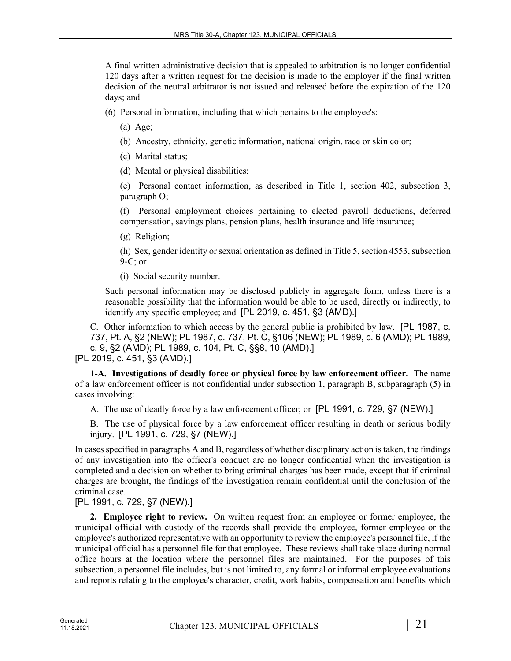A final written administrative decision that is appealed to arbitration is no longer confidential 120 days after a written request for the decision is made to the employer if the final written decision of the neutral arbitrator is not issued and released before the expiration of the 120 days; and

(6) Personal information, including that which pertains to the employee's:

(a) Age;

- (b) Ancestry, ethnicity, genetic information, national origin, race or skin color;
- (c) Marital status;

(d) Mental or physical disabilities;

(e) Personal contact information, as described in Title 1, section 402, subsection 3, paragraph O;

(f) Personal employment choices pertaining to elected payroll deductions, deferred compensation, savings plans, pension plans, health insurance and life insurance;

(g) Religion;

(h) Sex, gender identity or sexual orientation as defined in Title 5, section 4553, subsection  $9-C$ ; or

(i) Social security number.

Such personal information may be disclosed publicly in aggregate form, unless there is a reasonable possibility that the information would be able to be used, directly or indirectly, to identify any specific employee; and [PL 2019, c. 451, §3 (AMD).]

C. Other information to which access by the general public is prohibited by law. [PL 1987, c. 737, Pt. A, §2 (NEW); PL 1987, c. 737, Pt. C, §106 (NEW); PL 1989, c. 6 (AMD); PL 1989, c. 9, §2 (AMD); PL 1989, c. 104, Pt. C, §§8, 10 (AMD).] [PL 2019, c. 451, §3 (AMD).]

**1-A. Investigations of deadly force or physical force by law enforcement officer.** The name of a law enforcement officer is not confidential under subsection 1, paragraph B, subparagraph (5) in cases involving:

A. The use of deadly force by a law enforcement officer; or [PL 1991, c. 729, §7 (NEW).]

B. The use of physical force by a law enforcement officer resulting in death or serious bodily injury. [PL 1991, c. 729, §7 (NEW).]

In cases specified in paragraphs A and B, regardless of whether disciplinary action is taken, the findings of any investigation into the officer's conduct are no longer confidential when the investigation is completed and a decision on whether to bring criminal charges has been made, except that if criminal charges are brought, the findings of the investigation remain confidential until the conclusion of the criminal case.

[PL 1991, c. 729, §7 (NEW).]

**2. Employee right to review.** On written request from an employee or former employee, the municipal official with custody of the records shall provide the employee, former employee or the employee's authorized representative with an opportunity to review the employee's personnel file, if the municipal official has a personnel file for that employee. These reviews shall take place during normal office hours at the location where the personnel files are maintained. For the purposes of this subsection, a personnel file includes, but is not limited to, any formal or informal employee evaluations and reports relating to the employee's character, credit, work habits, compensation and benefits which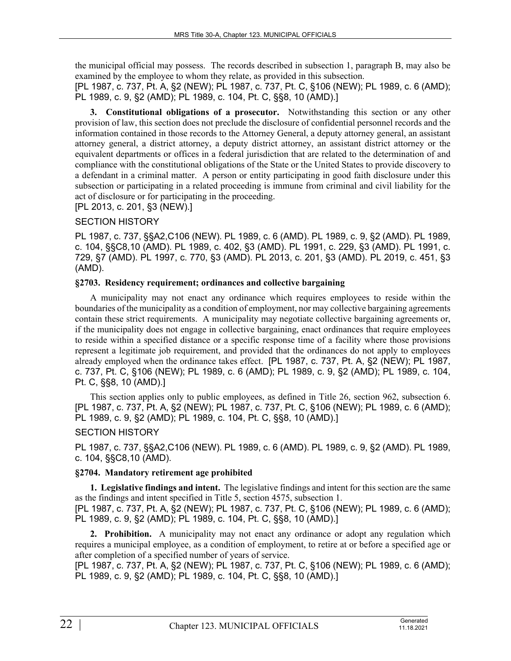the municipal official may possess. The records described in subsection 1, paragraph B, may also be examined by the employee to whom they relate, as provided in this subsection.

[PL 1987, c. 737, Pt. A, §2 (NEW); PL 1987, c. 737, Pt. C, §106 (NEW); PL 1989, c. 6 (AMD); PL 1989, c. 9, §2 (AMD); PL 1989, c. 104, Pt. C, §§8, 10 (AMD).]

**3. Constitutional obligations of a prosecutor.** Notwithstanding this section or any other provision of law, this section does not preclude the disclosure of confidential personnel records and the information contained in those records to the Attorney General, a deputy attorney general, an assistant attorney general, a district attorney, a deputy district attorney, an assistant district attorney or the equivalent departments or offices in a federal jurisdiction that are related to the determination of and compliance with the constitutional obligations of the State or the United States to provide discovery to a defendant in a criminal matter. A person or entity participating in good faith disclosure under this subsection or participating in a related proceeding is immune from criminal and civil liability for the act of disclosure or for participating in the proceeding.

[PL 2013, c. 201, §3 (NEW).]

### SECTION HISTORY

PL 1987, c. 737, §§A2,C106 (NEW). PL 1989, c. 6 (AMD). PL 1989, c. 9, §2 (AMD). PL 1989, c. 104, §§C8,10 (AMD). PL 1989, c. 402, §3 (AMD). PL 1991, c. 229, §3 (AMD). PL 1991, c. 729, §7 (AMD). PL 1997, c. 770, §3 (AMD). PL 2013, c. 201, §3 (AMD). PL 2019, c. 451, §3 (AMD).

### **§2703. Residency requirement; ordinances and collective bargaining**

PL 1989, c. 9, §2 (AMD); PL 1989, c. 104, Pt. C, §§8, 10 (AMD).]

A municipality may not enact any ordinance which requires employees to reside within the boundaries of the municipality as a condition of employment, nor may collective bargaining agreements contain these strict requirements. A municipality may negotiate collective bargaining agreements or, if the municipality does not engage in collective bargaining, enact ordinances that require employees to reside within a specified distance or a specific response time of a facility where those provisions represent a legitimate job requirement, and provided that the ordinances do not apply to employees already employed when the ordinance takes effect. [PL 1987, c. 737, Pt. A, §2 (NEW); PL 1987, c. 737, Pt. C, §106 (NEW); PL 1989, c. 6 (AMD); PL 1989, c. 9, §2 (AMD); PL 1989, c. 104, Pt. C, §§8, 10 (AMD).]

This section applies only to public employees, as defined in Title 26, section 962, subsection 6. [PL 1987, c. 737, Pt. A, §2 (NEW); PL 1987, c. 737, Pt. C, §106 (NEW); PL 1989, c. 6 (AMD); PL 1989, c. 9, §2 (AMD); PL 1989, c. 104, Pt. C, §§8, 10 (AMD).]

## SECTION HISTORY

PL 1987, c. 737, §§A2,C106 (NEW). PL 1989, c. 6 (AMD). PL 1989, c. 9, §2 (AMD). PL 1989, c. 104, §§C8,10 (AMD).

## **§2704. Mandatory retirement age prohibited**

**1. Legislative findings and intent.** The legislative findings and intent for this section are the same as the findings and intent specified in Title 5, section 4575, subsection 1. [PL 1987, c. 737, Pt. A, §2 (NEW); PL 1987, c. 737, Pt. C, §106 (NEW); PL 1989, c. 6 (AMD);

**2. Prohibition.** A municipality may not enact any ordinance or adopt any regulation which requires a municipal employee, as a condition of employment, to retire at or before a specified age or after completion of a specified number of years of service.

[PL 1987, c. 737, Pt. A, §2 (NEW); PL 1987, c. 737, Pt. C, §106 (NEW); PL 1989, c. 6 (AMD); PL 1989, c. 9, §2 (AMD); PL 1989, c. 104, Pt. C, §§8, 10 (AMD).]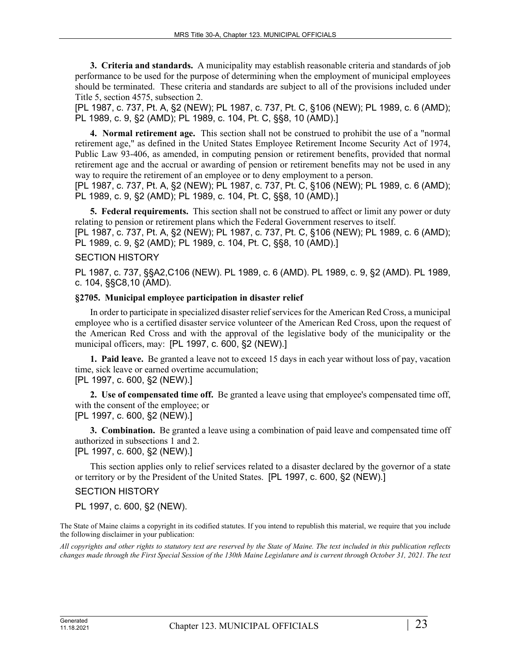**3. Criteria and standards.** A municipality may establish reasonable criteria and standards of job performance to be used for the purpose of determining when the employment of municipal employees should be terminated. These criteria and standards are subject to all of the provisions included under Title 5, section 4575, subsection 2.

[PL 1987, c. 737, Pt. A, §2 (NEW); PL 1987, c. 737, Pt. C, §106 (NEW); PL 1989, c. 6 (AMD); PL 1989, c. 9, §2 (AMD); PL 1989, c. 104, Pt. C, §§8, 10 (AMD).]

**4. Normal retirement age.** This section shall not be construed to prohibit the use of a "normal retirement age," as defined in the United States Employee Retirement Income Security Act of 1974, Public Law 93-406, as amended, in computing pension or retirement benefits, provided that normal retirement age and the accrual or awarding of pension or retirement benefits may not be used in any way to require the retirement of an employee or to deny employment to a person.

[PL 1987, c. 737, Pt. A, §2 (NEW); PL 1987, c. 737, Pt. C, §106 (NEW); PL 1989, c. 6 (AMD); PL 1989, c. 9, §2 (AMD); PL 1989, c. 104, Pt. C, §§8, 10 (AMD).]

**5. Federal requirements.** This section shall not be construed to affect or limit any power or duty relating to pension or retirement plans which the Federal Government reserves to itself.

[PL 1987, c. 737, Pt. A, §2 (NEW); PL 1987, c. 737, Pt. C, §106 (NEW); PL 1989, c. 6 (AMD); PL 1989, c. 9, §2 (AMD); PL 1989, c. 104, Pt. C, §§8, 10 (AMD).]

### SECTION HISTORY

PL 1987, c. 737, §§A2,C106 (NEW). PL 1989, c. 6 (AMD). PL 1989, c. 9, §2 (AMD). PL 1989, c. 104, §§C8,10 (AMD).

### **§2705. Municipal employee participation in disaster relief**

In order to participate in specialized disaster relief services for the American Red Cross, a municipal employee who is a certified disaster service volunteer of the American Red Cross, upon the request of the American Red Cross and with the approval of the legislative body of the municipality or the municipal officers, may: [PL 1997, c. 600, §2 (NEW).]

**1. Paid leave.** Be granted a leave not to exceed 15 days in each year without loss of pay, vacation time, sick leave or earned overtime accumulation; [PL 1997, c. 600, §2 (NEW).]

**2. Use of compensated time off.** Be granted a leave using that employee's compensated time off, with the consent of the employee; or [PL 1997, c. 600, §2 (NEW).]

**3. Combination.** Be granted a leave using a combination of paid leave and compensated time off authorized in subsections 1 and 2.

[PL 1997, c. 600, §2 (NEW).]

This section applies only to relief services related to a disaster declared by the governor of a state or territory or by the President of the United States. [PL 1997, c. 600, §2 (NEW).]

### SECTION HISTORY

PL 1997, c. 600, §2 (NEW).

The State of Maine claims a copyright in its codified statutes. If you intend to republish this material, we require that you include the following disclaimer in your publication:

*All copyrights and other rights to statutory text are reserved by the State of Maine. The text included in this publication reflects changes made through the First Special Session of the 130th Maine Legislature and is current through October 31, 2021. The text*